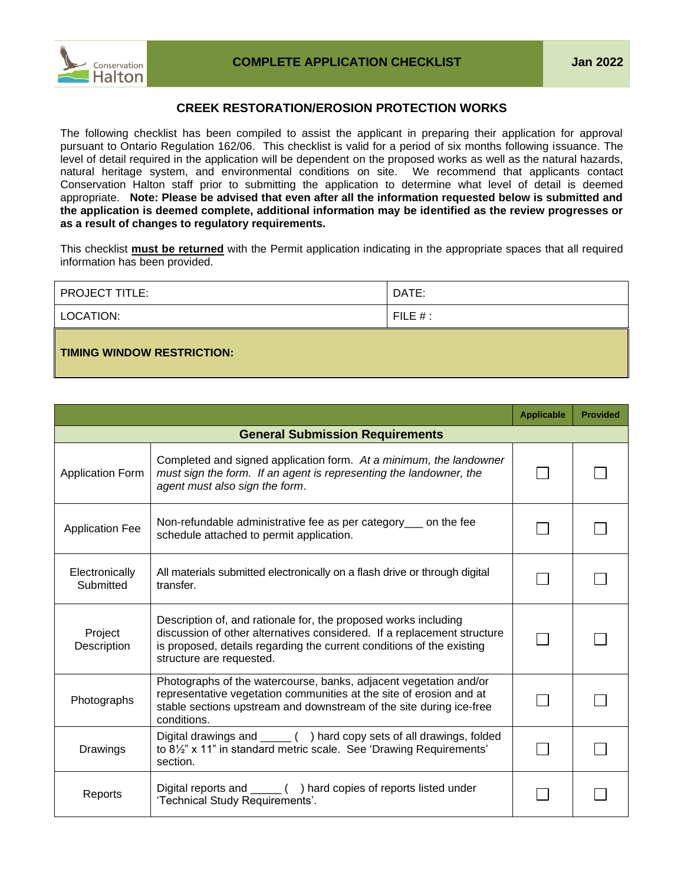



## **CREEK RESTORATION/EROSION PROTECTION WORKS**

The following checklist has been compiled to assist the applicant in preparing their application for approval pursuant to Ontario Regulation 162/06. This checklist is valid for a period of six months following issuance. The level of detail required in the application will be dependent on the proposed works as well as the natural hazards, natural heritage system, and environmental conditions on site. We recommend that applicants contact Conservation Halton staff prior to submitting the application to determine what level of detail is deemed appropriate. **Note: Please be advised that even after all the information requested below is submitted and the application is deemed complete, additional information may be identified as the review progresses or as a result of changes to regulatory requirements.**

This checklist **must be returned** with the Permit application indicating in the appropriate spaces that all required information has been provided.

| PROJECT TITLE:                    | DATE:      |
|-----------------------------------|------------|
| LOCATION:                         | FILE $#$ : |
| <b>TIMING WINDOW RESTRICTION:</b> |            |

|                                                                                                                                                                                                                                               |                                                                                                                                                                                                                                                 | <b>Applicable</b> | <b>Provided</b> |
|-----------------------------------------------------------------------------------------------------------------------------------------------------------------------------------------------------------------------------------------------|-------------------------------------------------------------------------------------------------------------------------------------------------------------------------------------------------------------------------------------------------|-------------------|-----------------|
|                                                                                                                                                                                                                                               | <b>General Submission Requirements</b>                                                                                                                                                                                                          |                   |                 |
| <b>Application Form</b>                                                                                                                                                                                                                       | Completed and signed application form. At a minimum, the landowner<br>must sign the form. If an agent is representing the landowner, the<br>agent must also sign the form.                                                                      |                   |                 |
| <b>Application Fee</b>                                                                                                                                                                                                                        | Non-refundable administrative fee as per category on the fee<br>schedule attached to permit application.                                                                                                                                        |                   |                 |
| Electronically<br>Submitted                                                                                                                                                                                                                   | All materials submitted electronically on a flash drive or through digital<br>transfer.                                                                                                                                                         |                   |                 |
| Project<br>Description                                                                                                                                                                                                                        | Description of, and rationale for, the proposed works including<br>discussion of other alternatives considered. If a replacement structure<br>is proposed, details regarding the current conditions of the existing<br>structure are requested. |                   |                 |
| Photographs of the watercourse, banks, adjacent vegetation and/or<br>representative vegetation communities at the site of erosion and at<br>Photographs<br>stable sections upstream and downstream of the site during ice-free<br>conditions. |                                                                                                                                                                                                                                                 |                   |                 |
| Drawings                                                                                                                                                                                                                                      | Digital drawings and ______ () hard copy sets of all drawings, folded<br>to 81/2" x 11" in standard metric scale. See 'Drawing Requirements'<br>section.                                                                                        |                   |                 |
| Reports                                                                                                                                                                                                                                       | 'Technical Study Requirements'.                                                                                                                                                                                                                 |                   |                 |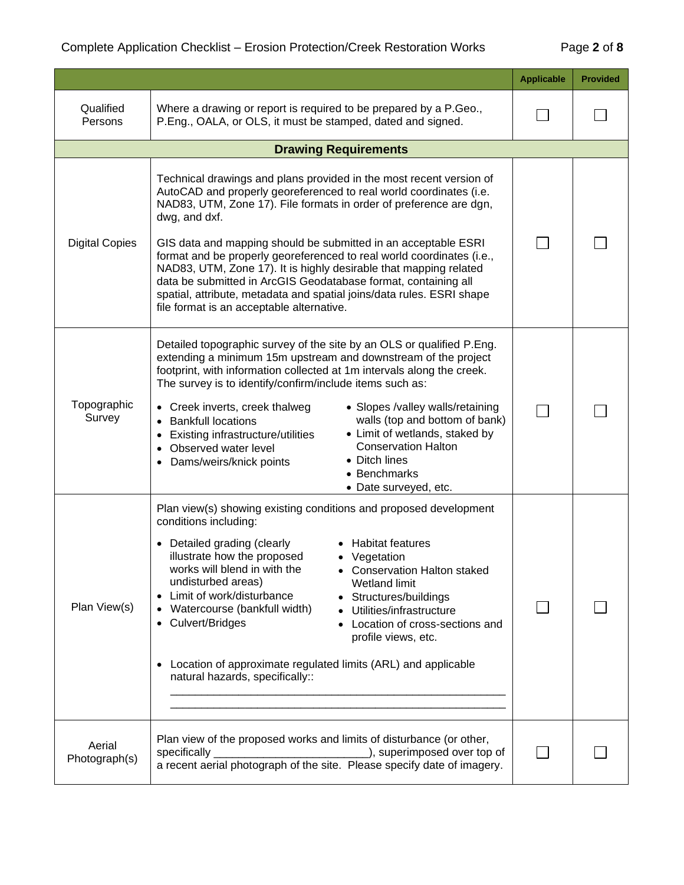|                         |                                                                                                                                                                                                                                                                                                                                                                                                                                                                                                                                                                                                                                          | <b>Applicable</b> | <b>Provided</b> |
|-------------------------|------------------------------------------------------------------------------------------------------------------------------------------------------------------------------------------------------------------------------------------------------------------------------------------------------------------------------------------------------------------------------------------------------------------------------------------------------------------------------------------------------------------------------------------------------------------------------------------------------------------------------------------|-------------------|-----------------|
| Qualified<br>Persons    | Where a drawing or report is required to be prepared by a P.Geo.,<br>P.Eng., OALA, or OLS, it must be stamped, dated and signed.                                                                                                                                                                                                                                                                                                                                                                                                                                                                                                         |                   |                 |
|                         | <b>Drawing Requirements</b>                                                                                                                                                                                                                                                                                                                                                                                                                                                                                                                                                                                                              |                   |                 |
| <b>Digital Copies</b>   | Technical drawings and plans provided in the most recent version of<br>AutoCAD and properly georeferenced to real world coordinates (i.e.<br>NAD83, UTM, Zone 17). File formats in order of preference are dgn,<br>dwg, and dxf.<br>GIS data and mapping should be submitted in an acceptable ESRI<br>format and be properly georeferenced to real world coordinates (i.e.,<br>NAD83, UTM, Zone 17). It is highly desirable that mapping related<br>data be submitted in ArcGIS Geodatabase format, containing all<br>spatial, attribute, metadata and spatial joins/data rules. ESRI shape<br>file format is an acceptable alternative. |                   |                 |
| Topographic<br>Survey   | Detailed topographic survey of the site by an OLS or qualified P.Eng.<br>extending a minimum 15m upstream and downstream of the project<br>footprint, with information collected at 1m intervals along the creek.<br>The survey is to identify/confirm/include items such as:<br>• Creek inverts, creek thalweg<br>• Slopes /valley walls/retaining<br>walls (top and bottom of bank)<br><b>Bankfull locations</b><br>• Limit of wetlands, staked by<br>Existing infrastructure/utilities<br><b>Conservation Halton</b><br>Observed water level<br>• Ditch lines<br>Dams/weirs/knick points<br>• Benchmarks<br>• Date surveyed, etc.     |                   |                 |
| Plan View(s)            | Plan view(s) showing existing conditions and proposed development<br>conditions including:<br>Detailed grading (clearly<br>• Habitat features<br>illustrate how the proposed<br>• Vegetation<br>works will blend in with the<br>• Conservation Halton staked<br>undisturbed areas)<br>Wetland limit<br>Limit of work/disturbance<br>Structures/buildings<br>Watercourse (bankfull width)<br>Utilities/infrastructure<br>Culvert/Bridges<br>Location of cross-sections and<br>profile views, etc.<br>Location of approximate regulated limits (ARL) and applicable<br>natural hazards, specifically::                                     |                   |                 |
| Aerial<br>Photograph(s) | Plan view of the proposed works and limits of disturbance (or other,<br>_), superimposed over top of<br>specifically<br>a recent aerial photograph of the site. Please specify date of imagery.                                                                                                                                                                                                                                                                                                                                                                                                                                          |                   |                 |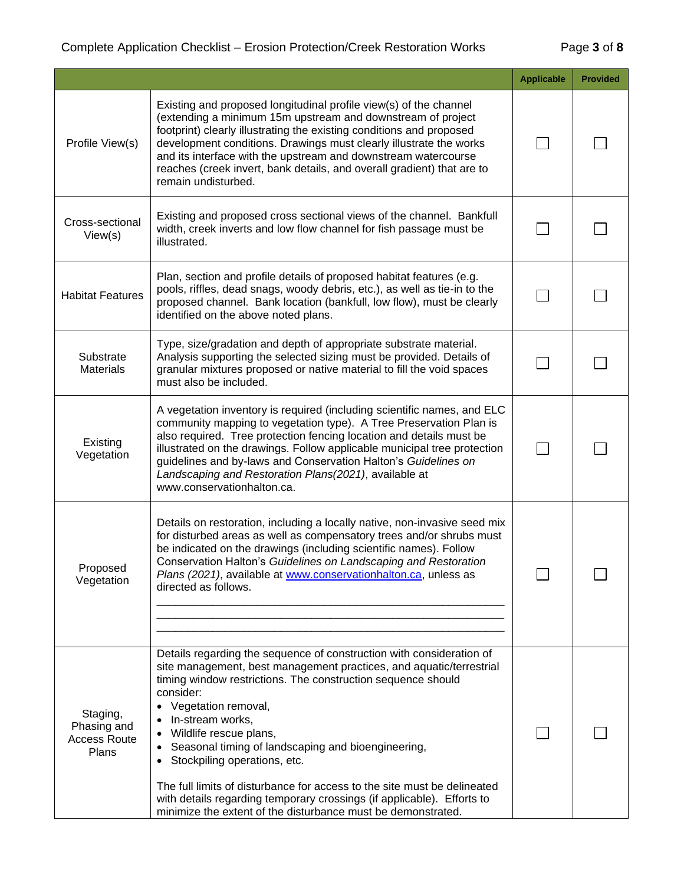## Complete Application Checklist – Erosion Protection/Creek Restoration Works Page **3** of **8**

|                                                         |                                                                                                                                                                                                                                                                                                                                                                                                                                                                                                                                                                                                                                     | <b>Applicable</b> | <b>Provided</b> |
|---------------------------------------------------------|-------------------------------------------------------------------------------------------------------------------------------------------------------------------------------------------------------------------------------------------------------------------------------------------------------------------------------------------------------------------------------------------------------------------------------------------------------------------------------------------------------------------------------------------------------------------------------------------------------------------------------------|-------------------|-----------------|
| Profile View(s)                                         | Existing and proposed longitudinal profile view(s) of the channel<br>(extending a minimum 15m upstream and downstream of project<br>footprint) clearly illustrating the existing conditions and proposed<br>development conditions. Drawings must clearly illustrate the works<br>and its interface with the upstream and downstream watercourse<br>reaches (creek invert, bank details, and overall gradient) that are to<br>remain undisturbed.                                                                                                                                                                                   |                   |                 |
| Cross-sectional<br>View(s)                              | Existing and proposed cross sectional views of the channel. Bankfull<br>width, creek inverts and low flow channel for fish passage must be<br>illustrated.                                                                                                                                                                                                                                                                                                                                                                                                                                                                          |                   |                 |
| <b>Habitat Features</b>                                 | Plan, section and profile details of proposed habitat features (e.g.<br>pools, riffles, dead snags, woody debris, etc.), as well as tie-in to the<br>proposed channel. Bank location (bankfull, low flow), must be clearly<br>identified on the above noted plans.                                                                                                                                                                                                                                                                                                                                                                  |                   |                 |
| Substrate<br><b>Materials</b>                           | Type, size/gradation and depth of appropriate substrate material.<br>Analysis supporting the selected sizing must be provided. Details of<br>granular mixtures proposed or native material to fill the void spaces<br>must also be included.                                                                                                                                                                                                                                                                                                                                                                                        |                   |                 |
| Existing<br>Vegetation                                  | A vegetation inventory is required (including scientific names, and ELC<br>community mapping to vegetation type). A Tree Preservation Plan is<br>also required. Tree protection fencing location and details must be<br>illustrated on the drawings. Follow applicable municipal tree protection<br>guidelines and by-laws and Conservation Halton's Guidelines on<br>Landscaping and Restoration Plans(2021), available at<br>www.conservationhalton.ca.                                                                                                                                                                           |                   |                 |
| Proposed<br>Vegetation                                  | Details on restoration, including a locally native, non-invasive seed mix<br>for disturbed areas as well as compensatory trees and/or shrubs must<br>be indicated on the drawings (including scientific names). Follow<br>Conservation Halton's Guidelines on Landscaping and Restoration<br>Plans (2021), available at www.conservationhalton.ca, unless as<br>directed as follows.                                                                                                                                                                                                                                                |                   |                 |
| Staging,<br>Phasing and<br><b>Access Route</b><br>Plans | Details regarding the sequence of construction with consideration of<br>site management, best management practices, and aquatic/terrestrial<br>timing window restrictions. The construction sequence should<br>consider:<br>Vegetation removal,<br>In-stream works,<br>Wildlife rescue plans,<br>Seasonal timing of landscaping and bioengineering,<br>$\bullet$<br>Stockpiling operations, etc.<br>$\bullet$<br>The full limits of disturbance for access to the site must be delineated<br>with details regarding temporary crossings (if applicable). Efforts to<br>minimize the extent of the disturbance must be demonstrated. |                   |                 |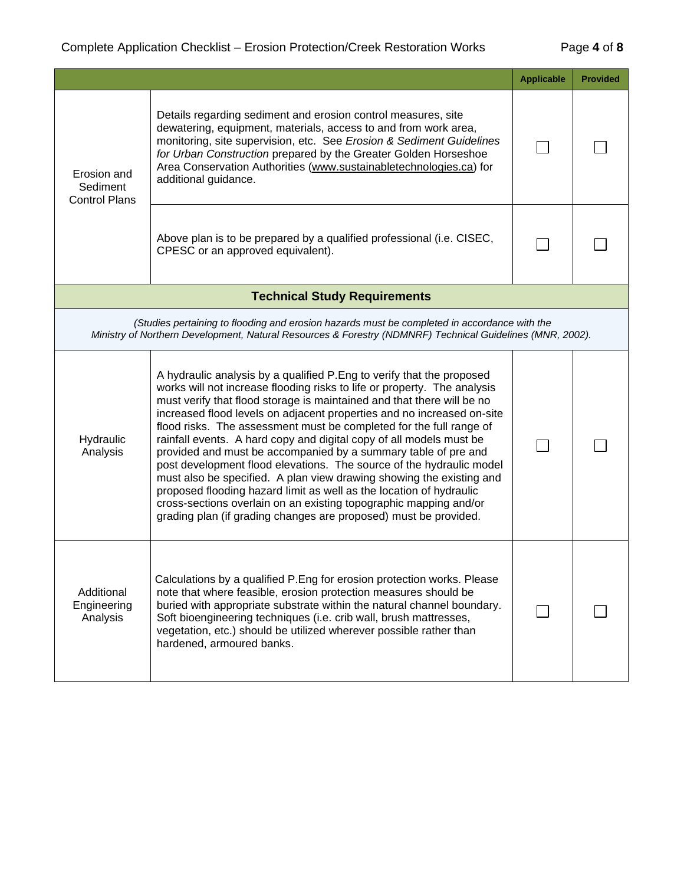|                                                                                                                                                                                                           |                                                                                                                                                                                                                                                                                                                                                                                                                                                                                                                                                                                                                                                                                                                                                                                                                                                                                        | <b>Applicable</b> | <b>Provided</b> |
|-----------------------------------------------------------------------------------------------------------------------------------------------------------------------------------------------------------|----------------------------------------------------------------------------------------------------------------------------------------------------------------------------------------------------------------------------------------------------------------------------------------------------------------------------------------------------------------------------------------------------------------------------------------------------------------------------------------------------------------------------------------------------------------------------------------------------------------------------------------------------------------------------------------------------------------------------------------------------------------------------------------------------------------------------------------------------------------------------------------|-------------------|-----------------|
| Erosion and<br>Sediment<br><b>Control Plans</b>                                                                                                                                                           | Details regarding sediment and erosion control measures, site<br>dewatering, equipment, materials, access to and from work area,<br>monitoring, site supervision, etc. See Erosion & Sediment Guidelines<br>for Urban Construction prepared by the Greater Golden Horseshoe<br>Area Conservation Authorities (www.sustainabletechnologies.ca) for<br>additional guidance.                                                                                                                                                                                                                                                                                                                                                                                                                                                                                                              |                   |                 |
|                                                                                                                                                                                                           | Above plan is to be prepared by a qualified professional (i.e. CISEC,<br>CPESC or an approved equivalent).                                                                                                                                                                                                                                                                                                                                                                                                                                                                                                                                                                                                                                                                                                                                                                             |                   |                 |
|                                                                                                                                                                                                           | <b>Technical Study Requirements</b>                                                                                                                                                                                                                                                                                                                                                                                                                                                                                                                                                                                                                                                                                                                                                                                                                                                    |                   |                 |
| (Studies pertaining to flooding and erosion hazards must be completed in accordance with the<br>Ministry of Northern Development, Natural Resources & Forestry (NDMNRF) Technical Guidelines (MNR, 2002). |                                                                                                                                                                                                                                                                                                                                                                                                                                                                                                                                                                                                                                                                                                                                                                                                                                                                                        |                   |                 |
| Hydraulic<br>Analysis                                                                                                                                                                                     | A hydraulic analysis by a qualified P. Eng to verify that the proposed<br>works will not increase flooding risks to life or property. The analysis<br>must verify that flood storage is maintained and that there will be no<br>increased flood levels on adjacent properties and no increased on-site<br>flood risks. The assessment must be completed for the full range of<br>rainfall events. A hard copy and digital copy of all models must be<br>provided and must be accompanied by a summary table of pre and<br>post development flood elevations. The source of the hydraulic model<br>must also be specified. A plan view drawing showing the existing and<br>proposed flooding hazard limit as well as the location of hydraulic<br>cross-sections overlain on an existing topographic mapping and/or<br>grading plan (if grading changes are proposed) must be provided. |                   |                 |
| Additional<br>Engineering<br>Analysis                                                                                                                                                                     | Calculations by a qualified P. Eng for erosion protection works. Please<br>note that where feasible, erosion protection measures should be<br>buried with appropriate substrate within the natural channel boundary.<br>Soft bioengineering techniques (i.e. crib wall, brush mattresses,<br>vegetation, etc.) should be utilized wherever possible rather than<br>hardened, armoured banks.                                                                                                                                                                                                                                                                                                                                                                                                                                                                                           |                   |                 |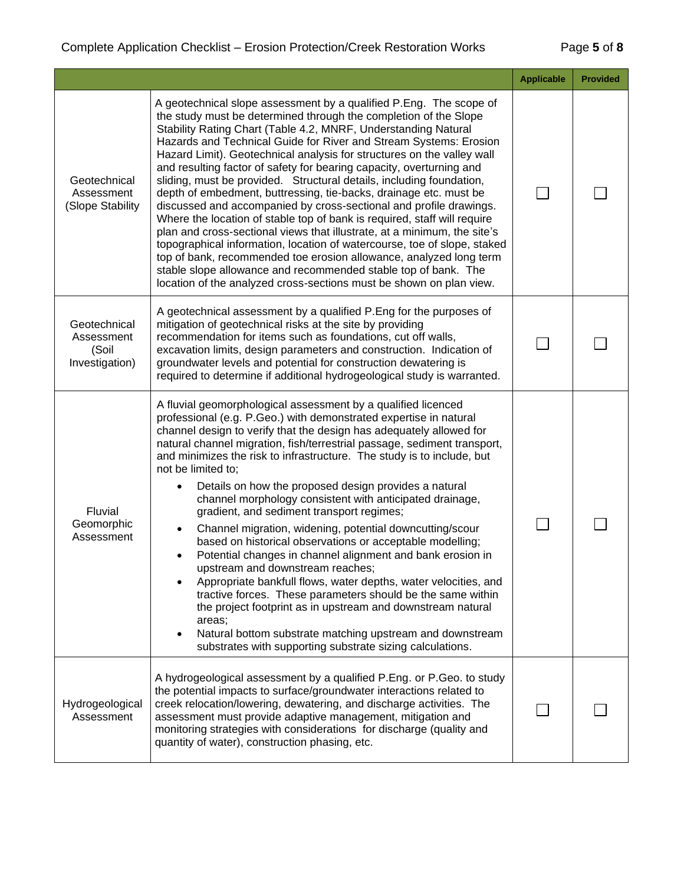|                                                       |                                                                                                                                                                                                                                                                                                                                                                                                                                                                                                                                                                                                                                                                                                                                                                                                                                                                                                                                                                                                                                                                                                                         | <b>Applicable</b> | <b>Provided</b> |
|-------------------------------------------------------|-------------------------------------------------------------------------------------------------------------------------------------------------------------------------------------------------------------------------------------------------------------------------------------------------------------------------------------------------------------------------------------------------------------------------------------------------------------------------------------------------------------------------------------------------------------------------------------------------------------------------------------------------------------------------------------------------------------------------------------------------------------------------------------------------------------------------------------------------------------------------------------------------------------------------------------------------------------------------------------------------------------------------------------------------------------------------------------------------------------------------|-------------------|-----------------|
| Geotechnical<br>Assessment<br>(Slope Stability        | A geotechnical slope assessment by a qualified P.Eng. The scope of<br>the study must be determined through the completion of the Slope<br>Stability Rating Chart (Table 4.2, MNRF, Understanding Natural<br>Hazards and Technical Guide for River and Stream Systems: Erosion<br>Hazard Limit). Geotechnical analysis for structures on the valley wall<br>and resulting factor of safety for bearing capacity, overturning and<br>sliding, must be provided. Structural details, including foundation,<br>depth of embedment, buttressing, tie-backs, drainage etc. must be<br>discussed and accompanied by cross-sectional and profile drawings.<br>Where the location of stable top of bank is required, staff will require<br>plan and cross-sectional views that illustrate, at a minimum, the site's<br>topographical information, location of watercourse, toe of slope, staked<br>top of bank, recommended toe erosion allowance, analyzed long term<br>stable slope allowance and recommended stable top of bank. The<br>location of the analyzed cross-sections must be shown on plan view.                   |                   |                 |
| Geotechnical<br>Assessment<br>(Soil<br>Investigation) | A geotechnical assessment by a qualified P.Eng for the purposes of<br>mitigation of geotechnical risks at the site by providing<br>recommendation for items such as foundations, cut off walls,<br>excavation limits, design parameters and construction. Indication of<br>groundwater levels and potential for construction dewatering is<br>required to determine if additional hydrogeological study is warranted.                                                                                                                                                                                                                                                                                                                                                                                                                                                                                                                                                                                                                                                                                                   |                   |                 |
| Fluvial<br>Geomorphic<br>Assessment                   | A fluvial geomorphological assessment by a qualified licenced<br>professional (e.g. P.Geo.) with demonstrated expertise in natural<br>channel design to verify that the design has adequately allowed for<br>natural channel migration, fish/terrestrial passage, sediment transport,<br>and minimizes the risk to infrastructure. The study is to include, but<br>not be limited to;<br>Details on how the proposed design provides a natural<br>channel morphology consistent with anticipated drainage,<br>gradient, and sediment transport regimes;<br>Channel migration, widening, potential downcutting/scour<br>based on historical observations or acceptable modelling;<br>Potential changes in channel alignment and bank erosion in<br>upstream and downstream reaches;<br>Appropriate bankfull flows, water depths, water velocities, and<br>tractive forces. These parameters should be the same within<br>the project footprint as in upstream and downstream natural<br>areas;<br>Natural bottom substrate matching upstream and downstream<br>substrates with supporting substrate sizing calculations. |                   |                 |
| Hydrogeological<br>Assessment                         | A hydrogeological assessment by a qualified P.Eng. or P.Geo. to study<br>the potential impacts to surface/groundwater interactions related to<br>creek relocation/lowering, dewatering, and discharge activities. The<br>assessment must provide adaptive management, mitigation and<br>monitoring strategies with considerations for discharge (quality and<br>quantity of water), construction phasing, etc.                                                                                                                                                                                                                                                                                                                                                                                                                                                                                                                                                                                                                                                                                                          |                   |                 |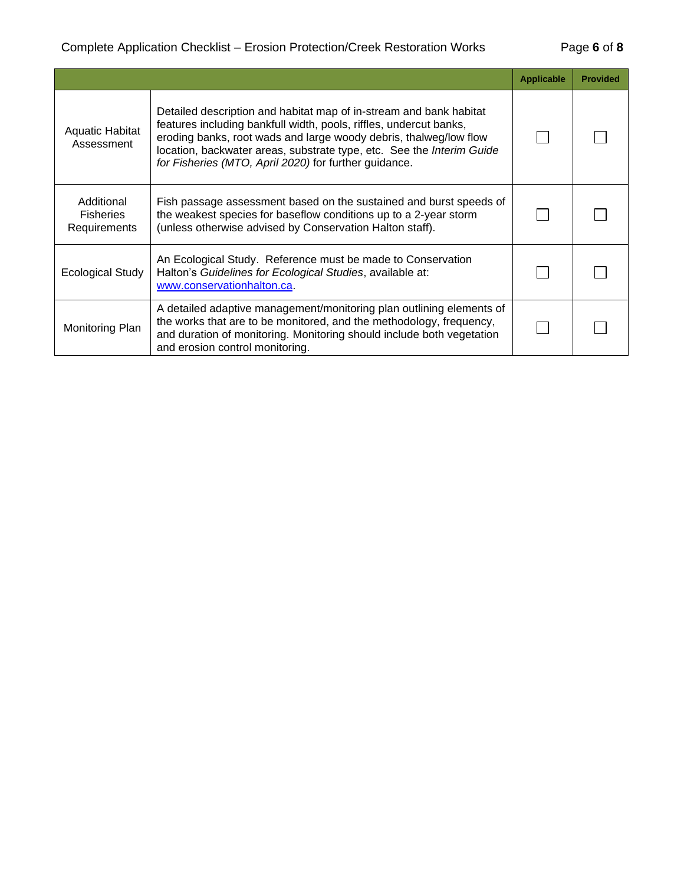## Complete Application Checklist – Erosion Protection/Creek Restoration Works Page **6** of **8**

|                                                       |                                                                                                                                                                                                                                                                                                                                                 | <b>Applicable</b> | <b>Provided</b> |
|-------------------------------------------------------|-------------------------------------------------------------------------------------------------------------------------------------------------------------------------------------------------------------------------------------------------------------------------------------------------------------------------------------------------|-------------------|-----------------|
| <b>Aquatic Habitat</b><br>Assessment                  | Detailed description and habitat map of in-stream and bank habitat<br>features including bankfull width, pools, riffles, undercut banks,<br>eroding banks, root wads and large woody debris, thalweg/low flow<br>location, backwater areas, substrate type, etc. See the Interim Guide<br>for Fisheries (MTO, April 2020) for further guidance. |                   |                 |
| Additional<br><b>Fisheries</b><br><b>Requirements</b> | Fish passage assessment based on the sustained and burst speeds of<br>the weakest species for baseflow conditions up to a 2-year storm<br>(unless otherwise advised by Conservation Halton staff).                                                                                                                                              |                   |                 |
| Ecological Study                                      | An Ecological Study. Reference must be made to Conservation<br>Halton's Guidelines for Ecological Studies, available at:<br>www.conservationhalton.ca.                                                                                                                                                                                          |                   |                 |
| Monitoring Plan                                       | A detailed adaptive management/monitoring plan outlining elements of<br>the works that are to be monitored, and the methodology, frequency,<br>and duration of monitoring. Monitoring should include both vegetation<br>and erosion control monitoring.                                                                                         |                   |                 |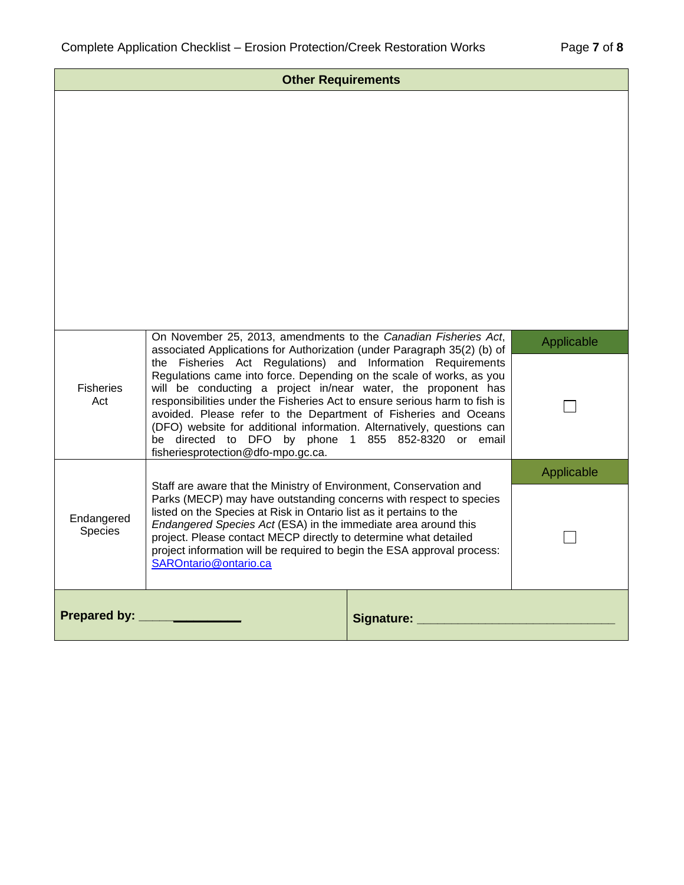| <b>Other Requirements</b>                                                                                                                                                                                                                                                                                                                                                                                                                                                          |                                                                                                                                                                                                                                                                                                                                                                                                                                                                                                                                                                                                                                                                            |                 |            |
|------------------------------------------------------------------------------------------------------------------------------------------------------------------------------------------------------------------------------------------------------------------------------------------------------------------------------------------------------------------------------------------------------------------------------------------------------------------------------------|----------------------------------------------------------------------------------------------------------------------------------------------------------------------------------------------------------------------------------------------------------------------------------------------------------------------------------------------------------------------------------------------------------------------------------------------------------------------------------------------------------------------------------------------------------------------------------------------------------------------------------------------------------------------------|-----------------|------------|
|                                                                                                                                                                                                                                                                                                                                                                                                                                                                                    |                                                                                                                                                                                                                                                                                                                                                                                                                                                                                                                                                                                                                                                                            |                 |            |
| <b>Fisheries</b><br>Act                                                                                                                                                                                                                                                                                                                                                                                                                                                            | On November 25, 2013, amendments to the Canadian Fisheries Act,<br>associated Applications for Authorization (under Paragraph 35(2) (b) of<br>the Fisheries Act Regulations) and Information Requirements<br>Regulations came into force. Depending on the scale of works, as you<br>will be conducting a project in/near water, the proponent has<br>responsibilities under the Fisheries Act to ensure serious harm to fish is<br>avoided. Please refer to the Department of Fisheries and Oceans<br>(DFO) website for additional information. Alternatively, questions can<br>be directed to DFO by phone 1 855 852-8320 or email<br>fisheriesprotection@dfo-mpo.gc.ca. |                 | Applicable |
|                                                                                                                                                                                                                                                                                                                                                                                                                                                                                    |                                                                                                                                                                                                                                                                                                                                                                                                                                                                                                                                                                                                                                                                            |                 | Applicable |
| Staff are aware that the Ministry of Environment, Conservation and<br>Parks (MECP) may have outstanding concerns with respect to species<br>listed on the Species at Risk in Ontario list as it pertains to the<br>Endangered<br>Endangered Species Act (ESA) in the immediate area around this<br>Species<br>project. Please contact MECP directly to determine what detailed<br>project information will be required to begin the ESA approval process:<br>SAROntario@ontario.ca |                                                                                                                                                                                                                                                                                                                                                                                                                                                                                                                                                                                                                                                                            |                 |            |
| Prepared by: __                                                                                                                                                                                                                                                                                                                                                                                                                                                                    |                                                                                                                                                                                                                                                                                                                                                                                                                                                                                                                                                                                                                                                                            | Signature: ____ |            |